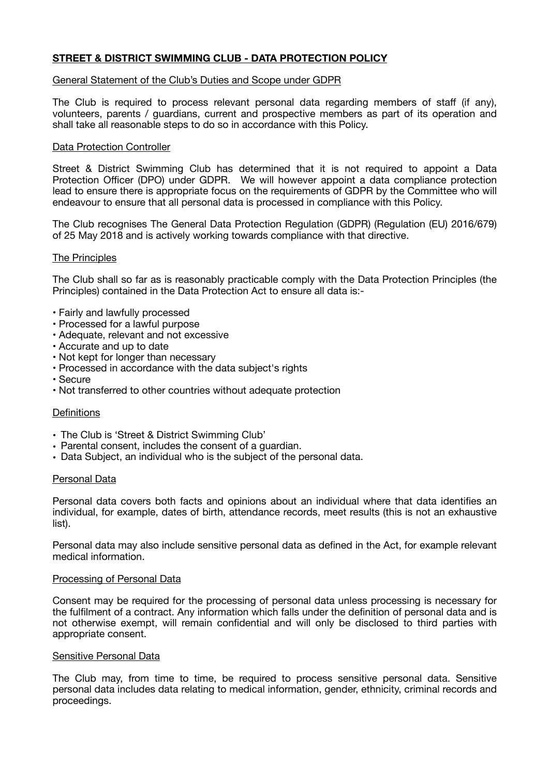# **STREET & DISTRICT SWIMMING CLUB - DATA PROTECTION POLICY**

### General Statement of the Club's Duties and Scope under GDPR

The Club is required to process relevant personal data regarding members of staff (if any), volunteers, parents / guardians, current and prospective members as part of its operation and shall take all reasonable steps to do so in accordance with this Policy.

### Data Protection Controller

Street & District Swimming Club has determined that it is not required to appoint a Data Protection Officer (DPO) under GDPR. We will however appoint a data compliance protection lead to ensure there is appropriate focus on the requirements of GDPR by the Committee who will endeavour to ensure that all personal data is processed in compliance with this Policy.

The Club recognises The General Data Protection Regulation (GDPR) (Regulation (EU) 2016/679) of 25 May 2018 and is actively working towards compliance with that directive.

## The Principles

The Club shall so far as is reasonably practicable comply with the Data Protection Principles (the Principles) contained in the Data Protection Act to ensure all data is:-

- Fairly and lawfully processed
- Processed for a lawful purpose
- Adequate, relevant and not excessive
- Accurate and up to date
- Not kept for longer than necessary
- Processed in accordance with the data subject's rights
- Secure
- Not transferred to other countries without adequate protection

#### **Definitions**

- The Club is 'Street & District Swimming Club'
- Parental consent, includes the consent of a guardian.
- Data Subject, an individual who is the subject of the personal data.

#### Personal Data

Personal data covers both facts and opinions about an individual where that data identifies an individual, for example, dates of birth, attendance records, meet results (this is not an exhaustive list).

Personal data may also include sensitive personal data as defined in the Act, for example relevant medical information.

#### Processing of Personal Data

Consent may be required for the processing of personal data unless processing is necessary for the fulfilment of a contract. Any information which falls under the definition of personal data and is not otherwise exempt, will remain confidential and will only be disclosed to third parties with appropriate consent.

#### Sensitive Personal Data

The Club may, from time to time, be required to process sensitive personal data. Sensitive personal data includes data relating to medical information, gender, ethnicity, criminal records and proceedings.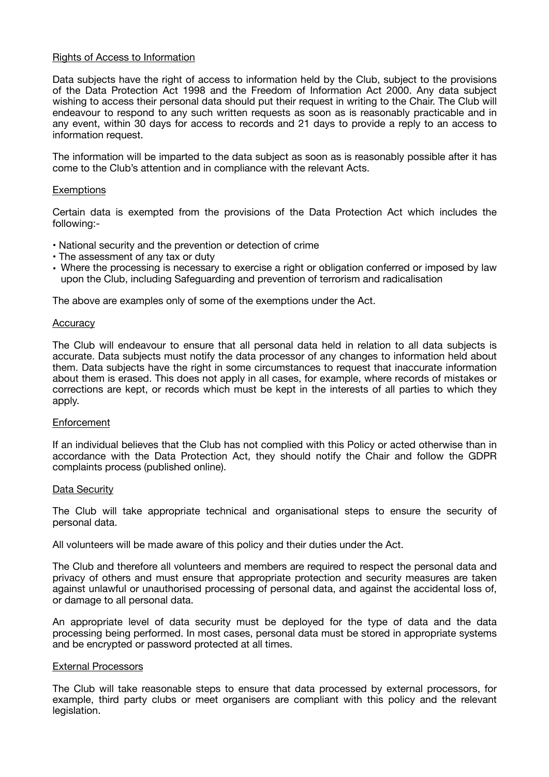#### Rights of Access to Information

Data subjects have the right of access to information held by the Club, subject to the provisions of the Data Protection Act 1998 and the Freedom of Information Act 2000. Any data subject wishing to access their personal data should put their request in writing to the Chair. The Club will endeavour to respond to any such written requests as soon as is reasonably practicable and in any event, within 30 days for access to records and 21 days to provide a reply to an access to information request.

The information will be imparted to the data subject as soon as is reasonably possible after it has come to the Club's attention and in compliance with the relevant Acts.

### **Exemptions**

Certain data is exempted from the provisions of the Data Protection Act which includes the following:-

- National security and the prevention or detection of crime
- The assessment of any tax or duty
- Where the processing is necessary to exercise a right or obligation conferred or imposed by law upon the Club, including Safeguarding and prevention of terrorism and radicalisation

The above are examples only of some of the exemptions under the Act.

#### **Accuracy**

The Club will endeavour to ensure that all personal data held in relation to all data subjects is accurate. Data subjects must notify the data processor of any changes to information held about them. Data subjects have the right in some circumstances to request that inaccurate information about them is erased. This does not apply in all cases, for example, where records of mistakes or corrections are kept, or records which must be kept in the interests of all parties to which they apply.

## **Enforcement**

If an individual believes that the Club has not complied with this Policy or acted otherwise than in accordance with the Data Protection Act, they should notify the Chair and follow the GDPR complaints process (published online).

#### Data Security

The Club will take appropriate technical and organisational steps to ensure the security of personal data.

All volunteers will be made aware of this policy and their duties under the Act.

The Club and therefore all volunteers and members are required to respect the personal data and privacy of others and must ensure that appropriate protection and security measures are taken against unlawful or unauthorised processing of personal data, and against the accidental loss of, or damage to all personal data.

An appropriate level of data security must be deployed for the type of data and the data processing being performed. In most cases, personal data must be stored in appropriate systems and be encrypted or password protected at all times.

### External Processors

The Club will take reasonable steps to ensure that data processed by external processors, for example, third party clubs or meet organisers are compliant with this policy and the relevant legislation.